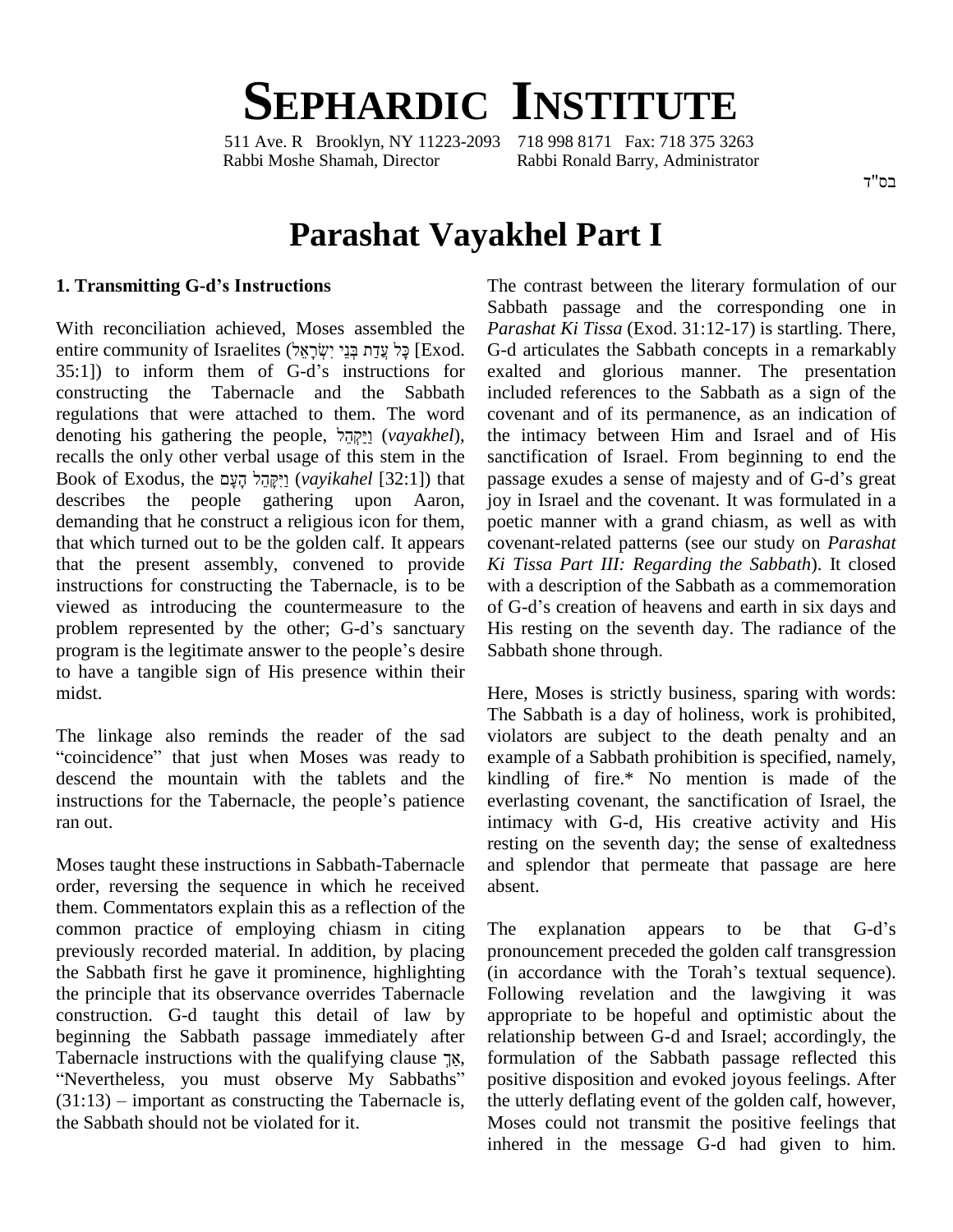# **SEPHARDIC INSTITUTE**

511 Ave. R Brooklyn, NY 11223-2093 718 998 8171 Fax: 718 375 3263 Rabbi Moshe Shamah, Director Rabbi Ronald Barry, Administrator

בס"ד

# **Parashat Vayakhel Part I**

#### **1. Transmitting G-dís Instructions**

With reconciliation achieved, Moses assembled the entire conciliation achieved, Moses assembled the *P*<br>entire community of Israelites (שְׁרָאֵל ְײַנְדַּת בְּנֵי יִשְׂרָאֵל [Exod. G With reconciliation achieved, Moses assembled the *Pair*<br>entire community of Israelites (לִי עֲדַת בְּנֵי יִשְׂרָאֵל [Exod. G-d]<br>35:1]) to inform them of G-d's instructions for exa constructing the Tabernacle and the Sabbath regulations that were attached to them. The word constructing the Tabernacle and the Sabbath in regulations that were attached to them. The word condensity denoting his gathering the people,  $\frac{1}{2}$  $\frac{1}{2}$  (*vayakhel*), the recalls the only other verbal usage of this stem in the denoting his gathering the people, <u>יִקְהֵל (vayakhel</u>), the recalls the only other verbal usage of this stem in the sa<br>Book of Exodus, the יְקֶבֶּּךָ (*vayikahel* [32:1]) that pa describes the people gathering upon Aaron, demanding that he construct a religious icon for them, that which turned out to be the golden calf. It appears that the present assembly, convened to provide instructions for constructing the Tabernacle, is to be viewed as introducing the countermeasure to the of G-d's creation of heavens and earth in six days and instructions for constructing the Tabernacle, is to be with a viewed as introducing the countermeasure to the of G-c problem represented by the other; G-d's sanctuary His re viewed as introducing the countermeasure to the of G-<br>problem represented by the other; G-d's sanctuary His is<br>program is the legitimate answer to the people's desire Sabb to have a tangible sign of His presence within their midst.

The linkage also reminds the reader of the sad The S<br>The linkage also reminds the reader of the sad violate<br>coincidence" that just when Moses was ready to examp descend the mountain with the tablets and the "coincidence" that just when Moses was ready to exam<br>descend the mountain with the tablets and the kindl<br>instructions for the Tabernacle, the people's patience everl ran out.<br>Moses taught these instructions in Sabbath-Tabernacle

order, reversing the sequence in which he received them. Commentators explain this as a reflection of the common practice of employing chiasm in citing previously recorded material. In addition, by placing the Sabbath first he gave it prominence, highlighting the principle that its observance overrides Tabernacle construction. G-d taught this detail of law by beginning the Sabbath passage immediately after restance instruction. G-d taught this detail of law by apple shows the Sabbath passage immediately after reducemently after the qualifying clause  $\frac{1}{N}$ , is eginning the Sabbath passage immediately after relatively after relatively after all abernacle instructions with the qualifying clause  $\frac{18}{15}$ , form Nevertheless, you must observe My Sabbaths" posit Tabernacle instructions with the qualifying clause  $\frac{18}{18}$ , fo<br>
"Nevertheless, you must observe My Sabbaths" po<br>
(31:13) – important as constructing the Tabernacle is, the the Sabbath should not be violated for it.

The contrast between the literary formulation of our Sabbath passage and the corresponding one in *Parashat Ki Tissa* (Exod. 31:12-17) is startling. There, G-d articulates the Sabbath concepts in a remarkably exalted and glorious manner. The presentation included references to the Sabbath as a sign of the covenant and of its permanence, as an indication of the intimacy between Him and Israel and of His<br>sanctification of Israel. From beginning to end the<br>passage exudes a sense of majesty and of G-d's great sanctification of Israel. From beginning to end the joy in Israel and the covenant. It was formulated in a poetic manner with a grand chiasm, as well as with covenant-related patterns (see our study on *Parashat Ki Tissa Part III: Regarding the Sabbath*). It closed with a description of the Sabbath as a commemoration of G-d's creation of heavens and earth in six days and with a description of the Sabbath as a commemoration His resting on the seventh day. The radiance of the Sabbath shone through.

Here, Moses is strictly business, sparing with words: The Sabbath is a day of holiness, work is prohibited, violators are subject to the death penalty and an example of a Sabbath prohibition is specified, namely, kindling of fire.\* No mention is made of the everlasting covenant, the sanctification of Israel, the intimacy with G-d, His creative activity and His resting on the seventh day; the sense of exaltedness and splendor that permeate that passage are here absent. absent.<br>The explanation appears to be that G-d's

pronouncement preceded the golden calf transgression The explanation appears to be that G-d's<br>pronouncement preceded the golden calf transgression<br>(in accordance with the Torah's textual sequence). Following revelation and the lawgiving it was appropriate to be hopeful and optimistic about the relationship between G-d and Israel; accordingly, the formulation of the Sabbath passage reflected this positive disposition and evoked joyous feelings. After the utterly deflating event of the golden calf, however, Moses could not transmit the positive feelings that inhered in the message G-d had given to him.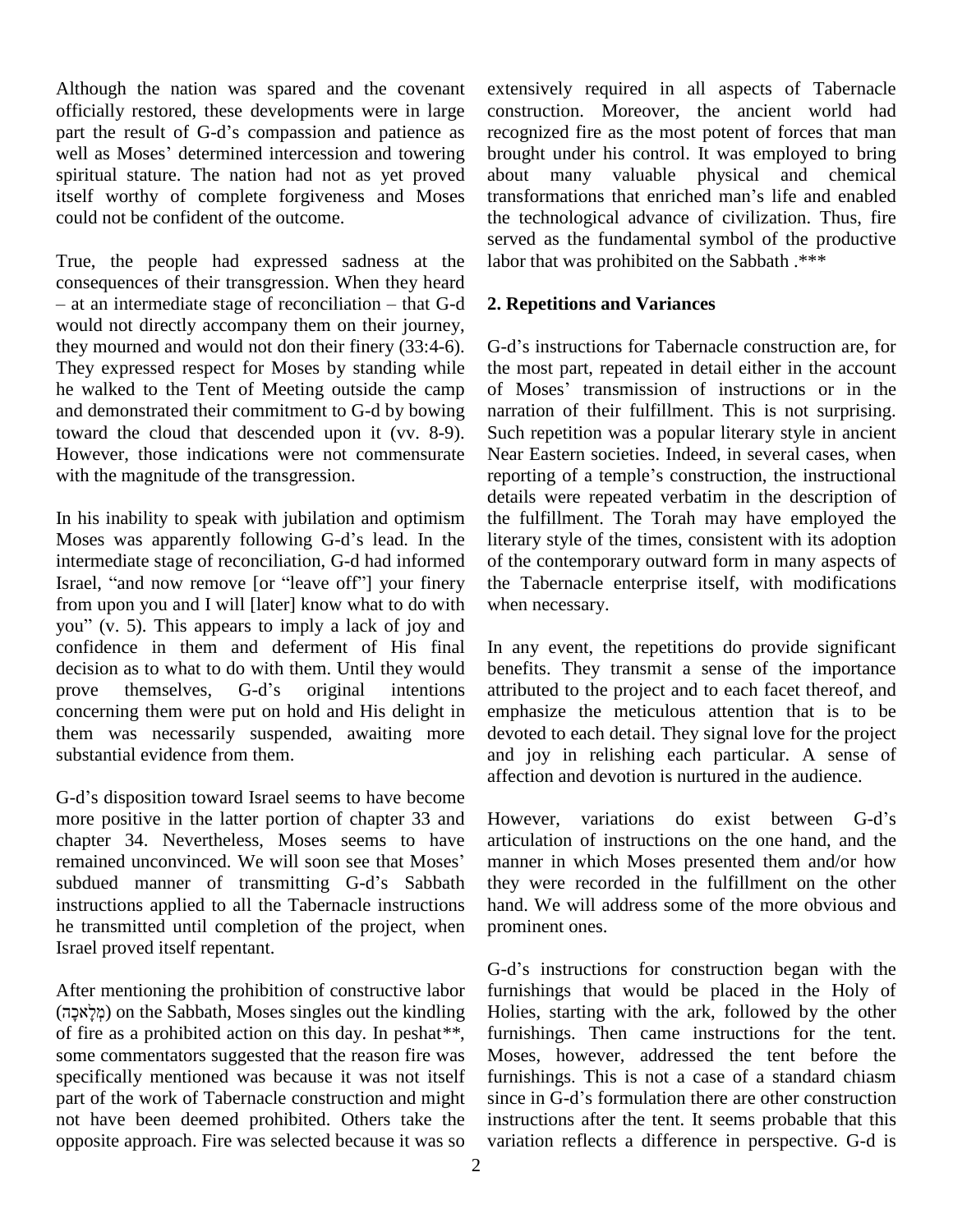Although the nation was spared and the covenant officially restored, these developments were in large Although the nation was spared and the covenant extendificially restored, these developments were in large conspart the result of G-d's compassion and patience as reco officially restored, these developments were in large constrant the result of G-d's compassion and patience as recognized as Moses' determined intercession and towering brought spiritual stature. The nation had not as yet proved itself worthy of complete forgiveness and Moses transformations that enriched man's life and enabled could not be confident of the outcome.

True, the people had expressed sadness at the labor consequences of their transgression. When they heard rue, the people had expressed sadness at the labor the negative stage of their transgression. When they heard at an intermediate stage of reconciliation – that G-d 2. Rep would not directly accompany them on their journey, they mourned and would not don their finery (33:4-6). They expressed respect for Moses by standing while he walked to the Tent of Meeting outside the camp of Moses' transmission of instructions or in the and demonstrated their commitment to G-d by bowing toward the cloud that descended upon it (vv. 8-9). However, those indications were not commensurate with the magnitude of the transgression.

In his inability to speak with jubilation and optimism Moses was apparently following G-d's lead. In the intermediate stage of reconciliation, G-d had informed Moses was apparently following G-d's lead. In the literar<br>intermediate stage of reconciliation, G-d had informed of the<br>Israel, "and now remove [or "leave off"] your finery the T from upon you and I will [later] know what to do with Israel, "and now remove [or "leave off"] your finery the T<br>from upon you and I will [later] know what to do with when<br>you" (v. 5). This appears to imply a lack of joy and confidence in them and deferment of His final In a<br>decision as to what to do with them. Until they would bene<br>prove themselves, G-d's original intentions attri decision as to what to do with them. Until they would concerning them were put on hold and His delight in them was necessarily suspended, awaiting more substantial evidence from them.

G-d's disposition toward Israel seems to have become more positive in the latter portion of chapter 33 and Howe<br>chapter 34. Nevertheless, Moses seems to have articul<br>remained unconvinced. We will soon see that Moses' manne chapter 34. Nevertheless, Moses seems to have articul<br>remained unconvinced. We will soon see that Moses' manne<br>subdued manner of transmitting G-d's Sabbath they instructions applied to all the Tabernacle instructions he transmitted until completion of the project, when Israel proved itself repentant.

After mentioning the prohibition of constructive labor (ʤʫʕʠʬʕʮʍ) on the Sabbath, Moses singles out the kindling of fire as a prohibited action on this day. In peshat*\*\**, some commentators suggested that the reason fire was specifically mentioned was because it was not itself part of the work of Tabernacle construction and might not have been deemed prohibited. Others take the opposite approach. Fire was selected because it was so extensively required in all aspects of Tabernacle construction. Moreover, the ancient world had recognized fire as the most potent of forces that man brought under his control. It was employed to bring<br>about many valuable physical and chemical<br>transformations that enriched man's life and enabled about many valuable physical and chemical the technological advance of civilization. Thus, fire served as the fundamental symbol of the productive labor that was prohibited on the Sabbath .\*\*\*

### **2. Repetitions and Variances**

G-d's instructions for Tabernacle construction are, for the most part, repeated in detail either in the account G-d's instructions for Tabernacle construction are, for<br>the most part, repeated in detail either in the account<br>of Moses' transmission of instructions or in the narration of their fulfillment. This is not surprising. Such repetition was a popular literary style in ancient<br>Near Eastern societies. Indeed, in several cases, when<br>reporting of a temple's construction, the instructional Near Eastern societies. Indeed, in several cases, when details were repeated verbatim in the description of the fulfillment. The Torah may have employed the literary style of the times, consistent with its adoption of the contemporary outward form in many aspects of the Tabernacle enterprise itself, with modifications when necessary.

In any event, the repetitions do provide significant benefits. They transmit a sense of the importance attributed to the project and to each facet thereof, and emphasize the meticulous attention that is to be devoted to each detail. They signal love for the project and joy in relishing each particular. A sense of affection and devotion is nurtured in the audience.<br>However, variations do exist between G-d's

articulation of instructions on the one hand, and the manner in which Moses presented them and/or how they were recorded in the fulfillment on the other hand. We will address some of the more obvious and prominent ones.

G-d's instructions for construction began with the furnishings that would be placed in the Holy of Holies, starting with the ark, followed by the other furnishings. Then came instructions for the tent. Moses, however, addressed the tent before the furnishings. This is not a case of a standard chiasm since in G-d's formulation there are other construction instructions after the tent. It seems probable that this variation reflects a difference in perspective. G-d is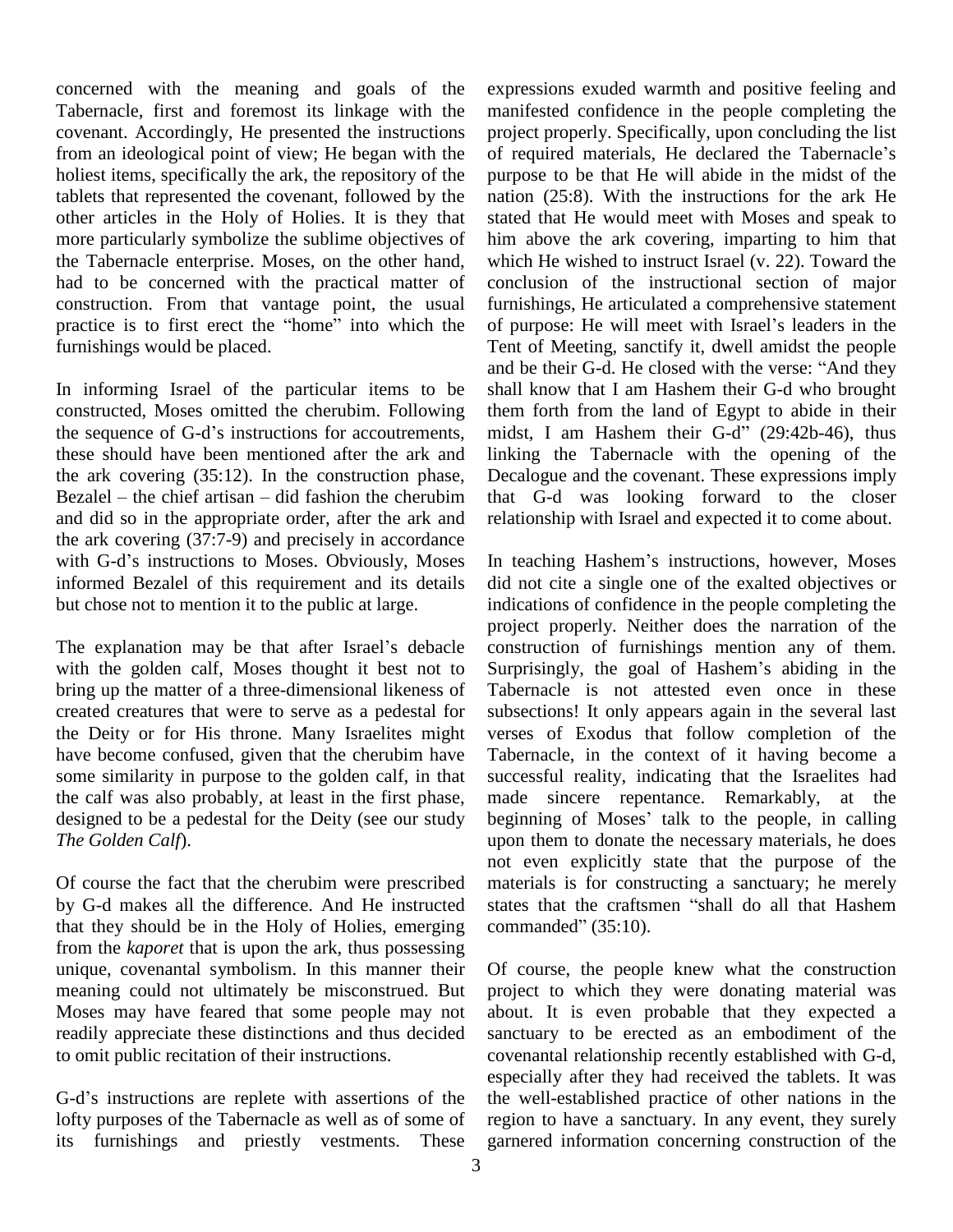concerned with the meaning and goals of the Tabernacle, first and foremost its linkage with the covenant. Accordingly, He presented the instructions from an ideological point of view; He began with the of required materials, He declared the Tabernacle's holiest items, specifically the ark, the repository of the tablets that represented the covenant, followed by the other articles in the Holy of Holies. It is they that more particularly symbolize the sublime objectives of the Tabernacle enterprise. Moses, on the other hand, had to be concerned with the practical matter of concl<br>construction. From that vantage point, the usual furnis<br>practice is to first erect the "home" into which the of pu construction. From that vantage point, the usual furnishings would be placed.

In informing Israel of the particular items to be constructed, Moses omitted the cherubim. Following In informing Israel of the particular items to be shower structed, Moses omitted the cherubim. Following the sequence of G-d's instructions for accoutrements, these should have been mentioned after the ark and linking the<br>the ark covering (35:12). In the construction phase, Decalogue<br>Bezalel – the chief artisan – did fashion the cherubim that G-d the ark covering (35:12). In the construction phase, and did so in the appropriate order, after the ark and relatio<br>the ark covering (37:7-9) and precisely in accordance<br>with G-d's instructions to Moses. Obviously, Moses In tea the ark covering (37:7-9) and precisely in accordance informed Bezalel of this requirement and its details but chose not to mention it to the public at large.

The explanation may be that after Israel's debacle with the golden calf, Moses thought it best not to Surprisingly, the goal of Hashem's abiding in the bring up the matter of a three-dimensional likeness of created creatures that were to serve as a pedestal for the Deity or for His throne. Many Israelites might have become confused, given that the cherubim have some similarity in purpose to the golden calf, in that the calf was also probably, at least in the first phase, designed to be a pedestal for the Deity (see our study beginning of Moses' talk to the people, in calling *The Golden Calf*).

Of course the fact that the cherubim were prescribed by G-d makes all the difference. And He instructed states that the craftsmen "shall do all that Hashem that they should be in the Holy of Holies, emerging commanded"  $(35:10)$ . from the *kaporet* that is upon the ark, thus possessing unique, covenantal symbolism. In this manner their meaning could not ultimately be misconstrued. But Moses may have feared that some people may not readily appreciate these distinctions and thus decided to omit public recitation of their instructions.

G-d's instructions are replete with assertions of the lofty purposes of the Tabernacle as well as of some of its furnishings and priestly vestments. These expressions exuded warmth and positive feeling and manifested confidence in the people completing the project properly. Specifically, upon concluding the list manifested confidence in the people completing the<br>project properly. Specifically, upon concluding the list<br>of required materials, He declared the Tabernacle's purpose to be that He will abide in the midst of the nation (25:8). With the instructions for the ark He stated that He would meet with Moses and speak to him above the ark covering, imparting to him that which He wished to instruct Israel (v. 22). Toward the conclusion of the instructional section of major furnishings, He articulated a comprehensive statement conclusion of the instructional section of major<br>furnishings, He articulated a comprehensive statement<br>of purpose: He will meet with Israel's leaders in the Tent of Meeting, sanctify it, dwell amidst the people of purpose: He will meet with Israel's leaders in the<br>Tent of Meeting, sanctify it, dwell amidst the people<br>and be their G-d. He closed with the verse: "And they shall know that I am Hashem their G-d who brought them forth from the land of Egypt to abide in their midst, I am Hashem their G-d" (29:42b-46), thus linking the Tabernacle with the opening of the Decalogue and the covenant. These expressions imply that G-d was looking forward to the closer relationship with Israel and expected it to come about.

In teaching Hashem's instructions, however, Moses did not cite a single one of the exalted objectives or indications of confidence in the people completing the project properly. Neither does the narration of the construction of furnishings mention any of them. project properly. Neither does the narration of the<br>construction of furnishings mention any of them.<br>Surprisingly, the goal of Hashem's abiding in the Tabernacle is not attested even once in these subsections! It only appears again in the several last verses of Exodus that follow completion of the Tabernacle, in the context of it having become a successful reality, indicating that the Israelites had<br>made sincere repentance. Remarkably, at the<br>beginning of Moses' talk to the people, in calling made sincere repentance. Remarkably, at the upon them to donate the necessary materials, he does not even explicitly state that the purpose of the materials is for constructing a sanctuary; he merely not even explicitly state that the purpose of the<br>materials is for constructing a sanctuary; he merely<br>states that the craftsmen "shall do all that Hashem materials is for construct<br>states that the craftsmen<br>commanded" (35:10).

Of course, the people knew what the construction project to which they were donating material was about. It is even probable that they expected a sanctuary to be erected as an embodiment of the covenantal relationship recently established with G-d, especially after they had received the tablets. It was the well-established practice of other nations in the region to have a sanctuary. In any event, they surely garnered information concerning construction of the